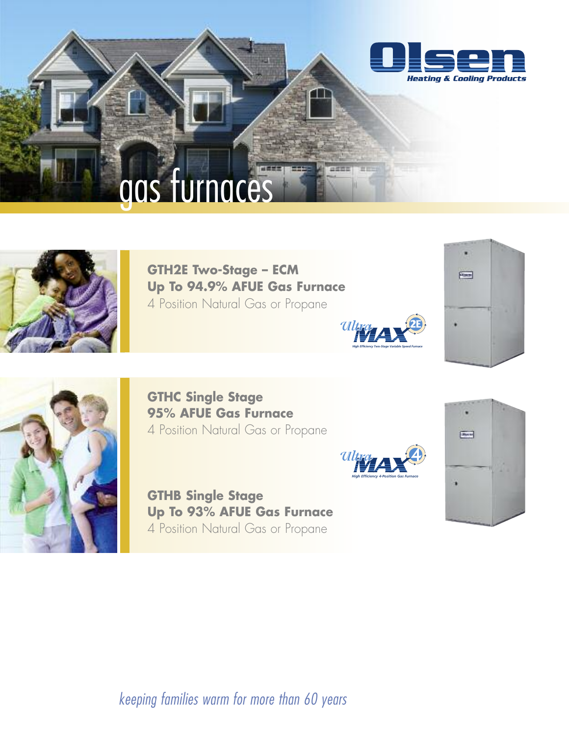



**GTH2E Two-Stage – ECM Up To 94.9% AFUE Gas Furnace** 4 Position Natural Gas or Propane







**GTHC Single Stage 95% AFUE Gas Furnace** 4 Position Natural Gas or Propane

**GTHB Single Stage Up To 93% AFUE Gas Furnace** 4 Position Natural Gas or Propane





*keeping families warm for more than 60 years*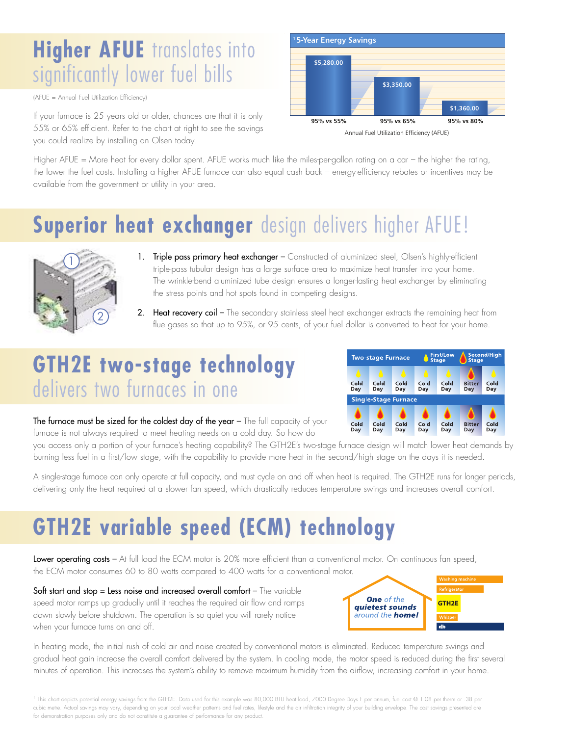## **Higher AFUE** translates into significantly lower fuel bills

(AFUE = Annual Fuel Utilization Efficiency)

If your furnace is 25 years old or older, chances are that it is only 55% or 65% efficient. Refer to the chart at right to see the savings you could realize by installing an Olsen today.



Higher AFUE = More heat for every dollar spent. AFUE works much like the miles-per-gallon rating on a car – the higher the rating, the lower the fuel costs. Installing a higher AFUE furnace can also equal cash back – energy-efficiency rebates or incentives may be available from the government or utility in your area.

## **Superior heat exchanger** design delivers higher AFUE!



- 1. Triple pass primary heat exchanger Constructed of aluminized steel, Olsen's highly-efficient triple-pass tubular design has a large surface area to maximize heat transfer into your home. The wrinkle-bend aluminized tube design ensures a longer-lasting heat exchanger by eliminating the stress points and hot spots found in competing designs.
- 2. Heat recovery coil The secondary stainless steel heat exchanger extracts the remaining heat from flue gases so that up to 95%, or 95 cents, of your fuel dollar is converted to heat for your home.

## **GTH2E two-stage technology** delivers two furnaces in one



The furnace must be sized for the coldest day of the year - The full capacity of your furnace is not always required to meet heating needs on a cold day. So how do

you access only a portion of your furnace's heating capability? The GTH2E's two-stage furnace design will match lower heat demands by burning less fuel in a first/low stage, with the capability to provide more heat in the second/high stage on the days it is needed.

A single-stage furnace can only operate at full capacity, and must cycle on and off when heat is required. The GTH2E runs for longer periods, delivering only the heat required at a slower fan speed, which drastically reduces temperature swings and increases overall comfort.

## **GTH2E variable speed (ECM) technology**

Lower operating costs – At full load the ECM motor is 20% more efficient than a conventional motor. On continuous fan speed, the ECM motor consumes 60 to 80 watts compared to 400 watts for a conventional motor.

Soft start and stop = Less noise and increased overall comfort - The variable speed motor ramps up gradually until it reaches the required air flow and ramps down slowly before shutdown. The operation is so quiet you will rarely notice when your furnace turns on and off.



In heating mode, the initial rush of cold air and noise created by conventional motors is eliminated. Reduced temperature swings and gradual heat gain increase the overall comfort delivered by the system. In cooling mode, the motor speed is reduced during the first several minutes of operation. This increases the system's ability to remove maximum humidity from the airflow, increasing comfort in your home.

<sup>1</sup> This chart depicts potential energy savings from the GTH2E. Data used for this example was 80,000 BTU heat load, 7000 Degree Days F per annum, fuel cost @ 1.08 per therm or .38 per cubic metre. Actual savings may vary, depending on your local weather patterns and fuel rates, lifestyle and the air infiltration integrity of your building envelope. The cost savings presented are for demonstration purposes only and do not constitute a guarantee of performance for any product.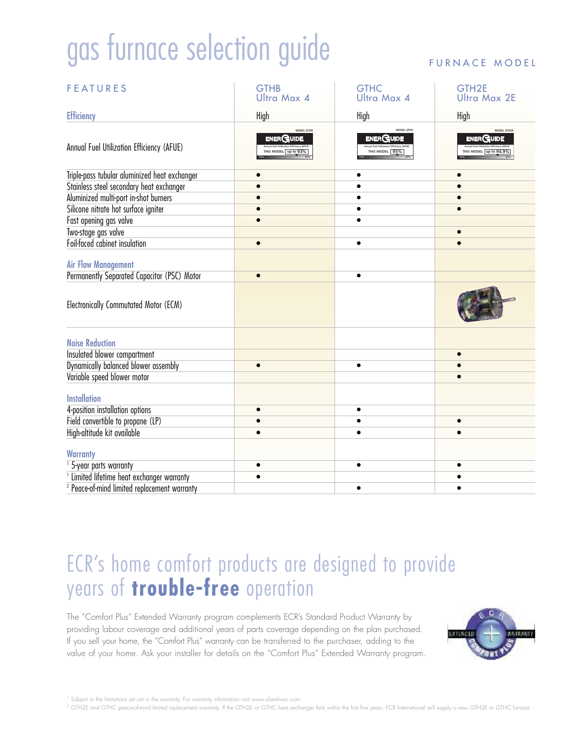# gas furnace selection guide

| <b>FEATURES</b>                                         | <b>GTHB</b><br><b>Ultra Max 4</b>                        | <b>GTHC</b><br>Ultra Max 4                       | GTH <sub>2E</sub><br><b>Ultra Max 2E</b>                 |
|---------------------------------------------------------|----------------------------------------------------------|--------------------------------------------------|----------------------------------------------------------|
| <b>Efficiency</b>                                       | High                                                     | High                                             | High                                                     |
| Annual Fuel Utilization Efficiency (AFUE)               | MODEL GTHE<br><b>ENER CAUDE</b><br>FHIS MODEL   up to 93 | MODEL GTHC<br><b>ENERGUIDE</b><br>THIS MODEL 95% | MODEL GTH2E<br><b>ENERGUIDE</b><br>HIS MODEL up to 94.9% |
| Triple-pass tubular aluminized heat exchanger           |                                                          |                                                  |                                                          |
| Stainless steel secondary heat exchanger                |                                                          |                                                  |                                                          |
| Aluminized multi-port in-shot burners                   |                                                          |                                                  |                                                          |
| Silicone nitrate hot surface igniter                    |                                                          |                                                  |                                                          |
| Fast opening gas valve                                  |                                                          |                                                  |                                                          |
| Two-stage gas valve                                     |                                                          |                                                  |                                                          |
| Foil-faced cabinet insulation                           |                                                          |                                                  |                                                          |
| <b>Air Flow Management</b>                              |                                                          |                                                  |                                                          |
| Permanently Separated Capacitor (PSC) Motor             |                                                          |                                                  |                                                          |
| Electronically Commutated Motor (ECM)                   |                                                          |                                                  |                                                          |
| <b>Noise Reduction</b>                                  |                                                          |                                                  |                                                          |
| Insulated blower compartment                            |                                                          |                                                  |                                                          |
| Dynamically balanced blower assembly                    | $\bullet$                                                | $\bullet$                                        |                                                          |
| Variable speed blower motor                             |                                                          |                                                  |                                                          |
| <b>Installation</b>                                     |                                                          |                                                  |                                                          |
| 4-position installation options                         |                                                          |                                                  |                                                          |
| Field convertible to propane (LP)                       |                                                          |                                                  |                                                          |
| High-altitude kit available                             |                                                          |                                                  |                                                          |
|                                                         |                                                          |                                                  |                                                          |
| <b>Warranty</b>                                         |                                                          |                                                  |                                                          |
| <sup>1</sup> 5-year parts warranty                      |                                                          |                                                  |                                                          |
| <sup>1</sup> Limited lifetime heat exchanger warranty   |                                                          |                                                  |                                                          |
| <sup>2</sup> Peace-of-mind limited replacement warranty |                                                          |                                                  |                                                          |

### FURNACE MODEL

## ECR's home comfort products are designed to provide years of **trouble-free** operation

The "Comfort Plus" Extended Warranty program complements ECR's Standard Product Warranty by providing labour coverage and additional years of parts coverage depending on the plan purchased. If you sell your home, the "Comfort Plus" warranty can be transferred to the purchaser, adding to the value of your home. Ask your installer for details on the "Comfort Plus" Extended Warranty program.



<sup>1</sup> Subject to the limitations set out in the warranty. For warranty information visit www.olsenhvac.com

<sup>2</sup> GTH2E and GTHC peace-of-mind limited replacement warranty. If the GTH2E or GTHC heat exchanger fails within the first five years, ECR International will supply a new GTH2E or GTHC furnace.